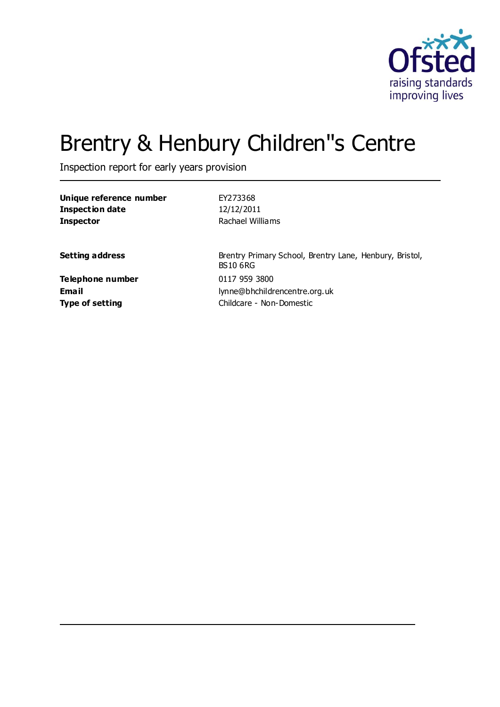

# Brentry & Henbury Children''s Centre

Inspection report for early years provision

| Unique reference number   | EY273368                                                                   |
|---------------------------|----------------------------------------------------------------------------|
| <b>Inspection date</b>    | 12/12/2011                                                                 |
| <b>Inspector</b>          | Rachael Williams                                                           |
| <b>Setting address</b>    | Brentry Primary School, Brentry Lane, Henbury, Bristol,<br><b>BS10 6RG</b> |
| Telephone number<br>Email | 0117 959 3800<br>lynne@bhchildrencentre.org.uk                             |
| <b>Type of setting</b>    | Childcare - Non-Domestic                                                   |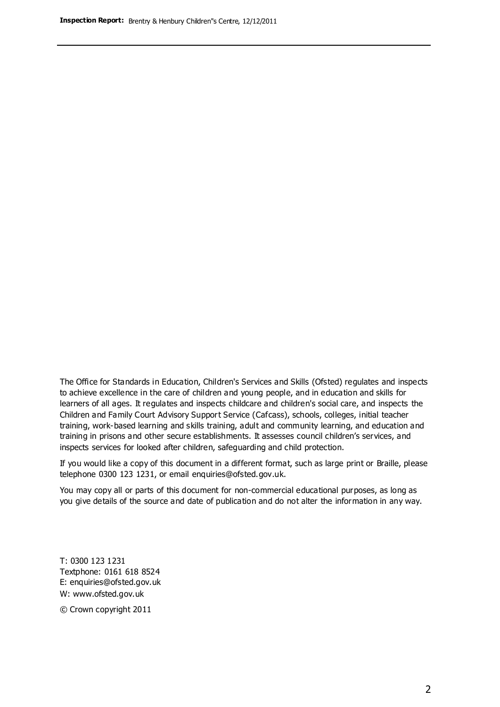The Office for Standards in Education, Children's Services and Skills (Ofsted) regulates and inspects to achieve excellence in the care of children and young people, and in education and skills for learners of all ages. It regulates and inspects childcare and children's social care, and inspects the Children and Family Court Advisory Support Service (Cafcass), schools, colleges, initial teacher training, work-based learning and skills training, adult and community learning, and education and training in prisons and other secure establishments. It assesses council children's services, and inspects services for looked after children, safeguarding and child protection.

If you would like a copy of this document in a different format, such as large print or Braille, please telephone 0300 123 1231, or email enquiries@ofsted.gov.uk.

You may copy all or parts of this document for non-commercial educational purposes, as long as you give details of the source and date of publication and do not alter the information in any way.

T: 0300 123 1231 Textphone: 0161 618 8524 E: enquiries@ofsted.gov.uk W: [www.ofsted.gov.uk](http://www.ofsted.gov.uk/)

© Crown copyright 2011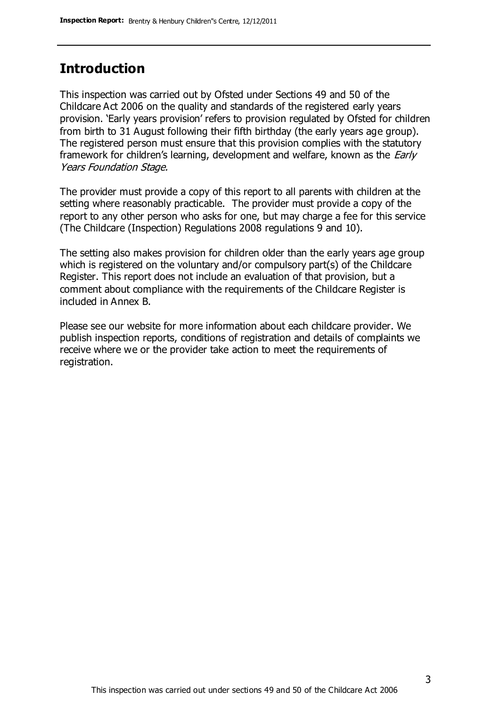### **Introduction**

This inspection was carried out by Ofsted under Sections 49 and 50 of the Childcare Act 2006 on the quality and standards of the registered early years provision. 'Early years provision' refers to provision regulated by Ofsted for children from birth to 31 August following their fifth birthday (the early years age group). The registered person must ensure that this provision complies with the statutory framework for children's learning, development and welfare, known as the *Early* Years Foundation Stage.

The provider must provide a copy of this report to all parents with children at the setting where reasonably practicable. The provider must provide a copy of the report to any other person who asks for one, but may charge a fee for this service (The Childcare (Inspection) Regulations 2008 regulations 9 and 10).

The setting also makes provision for children older than the early years age group which is registered on the voluntary and/or compulsory part(s) of the Childcare Register. This report does not include an evaluation of that provision, but a comment about compliance with the requirements of the Childcare Register is included in Annex B.

Please see our website for more information about each childcare provider. We publish inspection reports, conditions of registration and details of complaints we receive where we or the provider take action to meet the requirements of registration.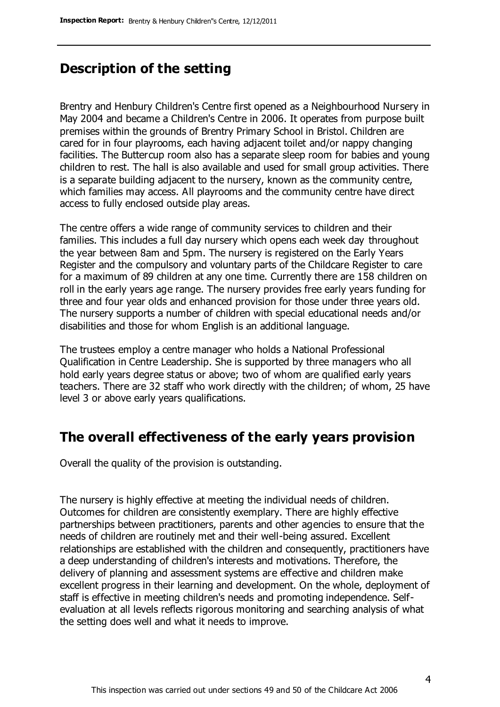### **Description of the setting**

Brentry and Henbury Children's Centre first opened as a Neighbourhood Nursery in May 2004 and became a Children's Centre in 2006. It operates from purpose built premises within the grounds of Brentry Primary School in Bristol. Children are cared for in four playrooms, each having adjacent toilet and/or nappy changing facilities. The Buttercup room also has a separate sleep room for babies and young children to rest. The hall is also available and used for small group activities. There is a separate building adjacent to the nursery, known as the community centre, which families may access. All playrooms and the community centre have direct access to fully enclosed outside play areas.

The centre offers a wide range of community services to children and their families. This includes a full day nursery which opens each week day throughout the year between 8am and 5pm. The nursery is registered on the Early Years Register and the compulsory and voluntary parts of the Childcare Register to care for a maximum of 89 children at any one time. Currently there are 158 children on roll in the early years age range. The nursery provides free early years funding for three and four year olds and enhanced provision for those under three years old. The nursery supports a number of children with special educational needs and/or disabilities and those for whom English is an additional language.

The trustees employ a centre manager who holds a National Professional Qualification in Centre Leadership. She is supported by three managers who all hold early years degree status or above; two of whom are qualified early years teachers. There are 32 staff who work directly with the children; of whom, 25 have level 3 or above early years qualifications.

### **The overall effectiveness of the early years provision**

Overall the quality of the provision is outstanding.

The nursery is highly effective at meeting the individual needs of children. Outcomes for children are consistently exemplary. There are highly effective partnerships between practitioners, parents and other agencies to ensure that the needs of children are routinely met and their well-being assured. Excellent relationships are established with the children and consequently, practitioners have a deep understanding of children's interests and motivations. Therefore, the delivery of planning and assessment systems are effective and children make excellent progress in their learning and development. On the whole, deployment of staff is effective in meeting children's needs and promoting independence. Selfevaluation at all levels reflects rigorous monitoring and searching analysis of what the setting does well and what it needs to improve.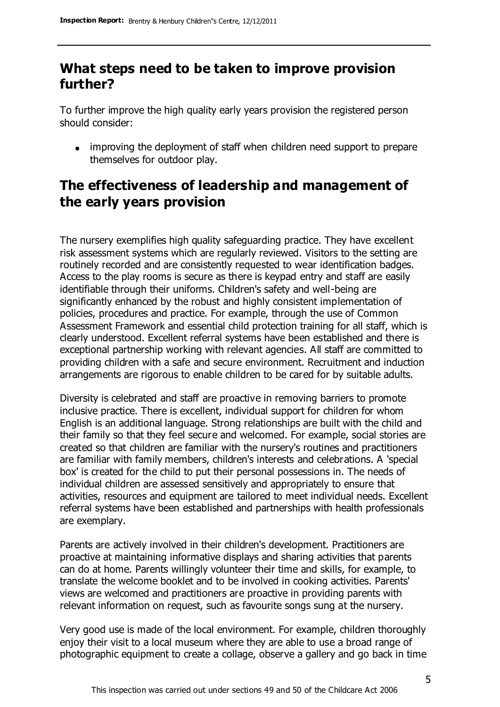### **What steps need to be taken to improve provision further?**

To further improve the high quality early years provision the registered person should consider:

• improving the deployment of staff when children need support to prepare themselves for outdoor play.

### **The effectiveness of leadership and management of the early years provision**

The nursery exemplifies high quality safeguarding practice. They have excellent risk assessment systems which are regularly reviewed. Visitors to the setting are routinely recorded and are consistently requested to wear identification badges. Access to the play rooms is secure as there is keypad entry and staff are easily identifiable through their uniforms. Children's safety and well-being are significantly enhanced by the robust and highly consistent implementation of policies, procedures and practice. For example, through the use of Common Assessment Framework and essential child protection training for all staff, which is clearly understood. Excellent referral systems have been established and there is exceptional partnership working with relevant agencies. All staff are committed to providing children with a safe and secure environment. Recruitment and induction arrangements are rigorous to enable children to be cared for by suitable adults.

Diversity is celebrated and staff are proactive in removing barriers to promote inclusive practice. There is excellent, individual support for children for whom English is an additional language. Strong relationships are built with the child and their family so that they feel secure and welcomed. For example, social stories are created so that children are familiar with the nursery's routines and practitioners are familiar with family members, children's interests and celebrations. A 'special box' is created for the child to put their personal possessions in. The needs of individual children are assessed sensitively and appropriately to ensure that activities, resources and equipment are tailored to meet individual needs. Excellent referral systems have been established and partnerships with health professionals are exemplary.

Parents are actively involved in their children's development. Practitioners are proactive at maintaining informative displays and sharing activities that parents can do at home. Parents willingly volunteer their time and skills, for example, to translate the welcome booklet and to be involved in cooking activities. Parents' views are welcomed and practitioners are proactive in providing parents with relevant information on request, such as favourite songs sung at the nursery.

Very good use is made of the local environment. For example, children thoroughly enjoy their visit to a local museum where they are able to use a broad range of photographic equipment to create a collage, observe a gallery and go back in time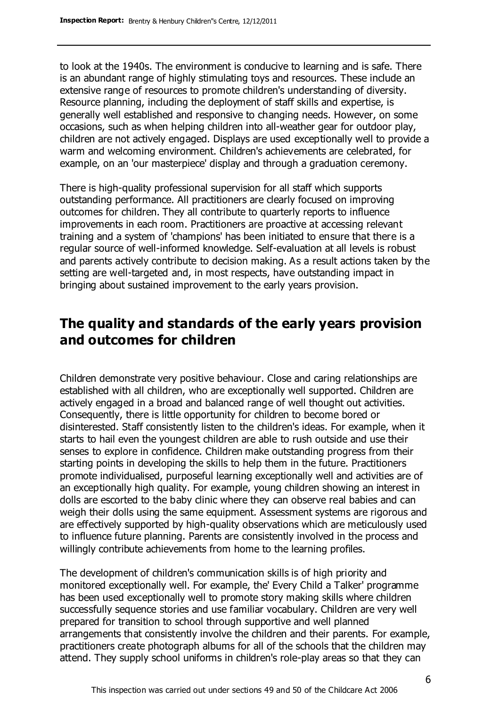to look at the 1940s. The environment is conducive to learning and is safe. There is an abundant range of highly stimulating toys and resources. These include an extensive range of resources to promote children's understanding of diversity. Resource planning, including the deployment of staff skills and expertise, is generally well established and responsive to changing needs. However, on some occasions, such as when helping children into all-weather gear for outdoor play, children are not actively engaged. Displays are used exceptionally well to provide a warm and welcoming environment. Children's achievements are celebrated, for example, on an 'our masterpiece' display and through a graduation ceremony.

There is high-quality professional supervision for all staff which supports outstanding performance. All practitioners are clearly focused on improving outcomes for children. They all contribute to quarterly reports to influence improvements in each room. Practitioners are proactive at accessing relevant training and a system of 'champions' has been initiated to ensure that there is a regular source of well-informed knowledge. Self-evaluation at all levels is robust and parents actively contribute to decision making. As a result actions taken by the setting are well-targeted and, in most respects, have outstanding impact in bringing about sustained improvement to the early years provision.

### **The quality and standards of the early years provision and outcomes for children**

Children demonstrate very positive behaviour. Close and caring relationships are established with all children, who are exceptionally well supported. Children are actively engaged in a broad and balanced range of well thought out activities. Consequently, there is little opportunity for children to become bored or disinterested. Staff consistently listen to the children's ideas. For example, when it starts to hail even the youngest children are able to rush outside and use their senses to explore in confidence. Children make outstanding progress from their starting points in developing the skills to help them in the future. Practitioners promote individualised, purposeful learning exceptionally well and activities are of an exceptionally high quality. For example, young children showing an interest in dolls are escorted to the baby clinic where they can observe real babies and can weigh their dolls using the same equipment. Assessment systems are rigorous and are effectively supported by high-quality observations which are meticulously used to influence future planning. Parents are consistently involved in the process and willingly contribute achievements from home to the learning profiles.

The development of children's communication skills is of high priority and monitored exceptionally well. For example, the' Every Child a Talker' programme has been used exceptionally well to promote story making skills where children successfully sequence stories and use familiar vocabulary. Children are very well prepared for transition to school through supportive and well planned arrangements that consistently involve the children and their parents. For example, practitioners create photograph albums for all of the schools that the children may attend. They supply school uniforms in children's role-play areas so that they can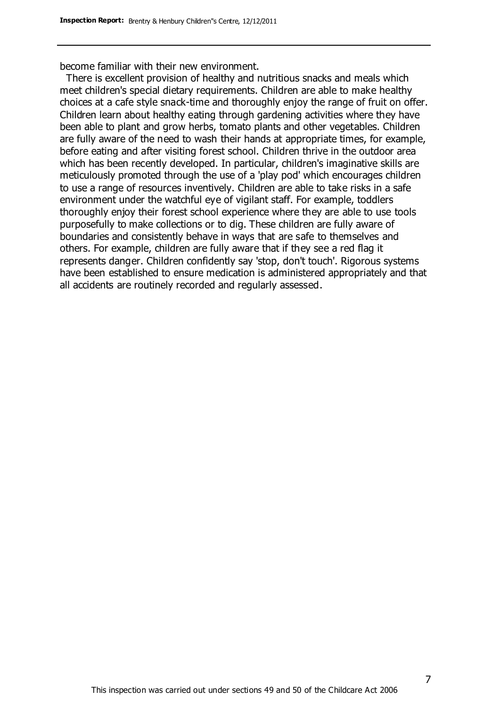become familiar with their new environment.

 There is excellent provision of healthy and nutritious snacks and meals which meet children's special dietary requirements. Children are able to make healthy choices at a cafe style snack-time and thoroughly enjoy the range of fruit on offer. Children learn about healthy eating through gardening activities where they have been able to plant and grow herbs, tomato plants and other vegetables. Children are fully aware of the need to wash their hands at appropriate times, for example, before eating and after visiting forest school. Children thrive in the outdoor area which has been recently developed. In particular, children's imaginative skills are meticulously promoted through the use of a 'play pod' which encourages children to use a range of resources inventively. Children are able to take risks in a safe environment under the watchful eye of vigilant staff. For example, toddlers thoroughly enjoy their forest school experience where they are able to use tools purposefully to make collections or to dig. These children are fully aware of boundaries and consistently behave in ways that are safe to themselves and others. For example, children are fully aware that if they see a red flag it represents danger. Children confidently say 'stop, don't touch'. Rigorous systems have been established to ensure medication is administered appropriately and that all accidents are routinely recorded and regularly assessed.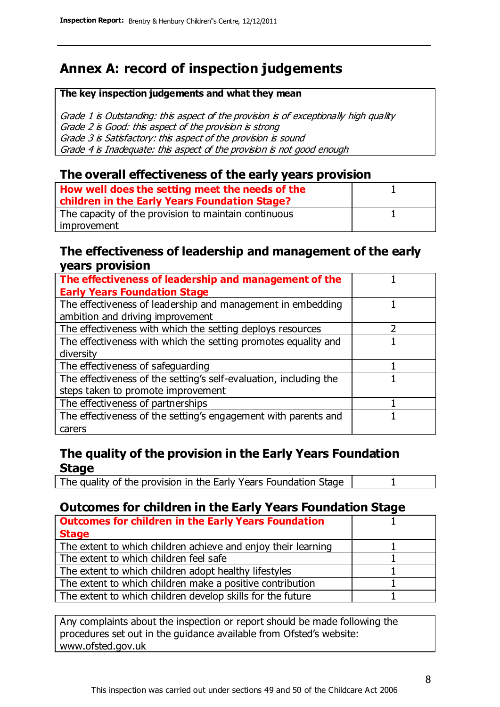### **Annex A: record of inspection judgements**

#### **The key inspection judgements and what they mean**

Grade 1 is Outstanding: this aspect of the provision is of exceptionally high quality Grade 2 is Good: this aspect of the provision is strong Grade 3 is Satisfactory: this aspect of the provision is sound Grade 4 is Inadequate: this aspect of the provision is not good enough

#### **The overall effectiveness of the early years provision**

| How well does the setting meet the needs of the<br>children in the Early Years Foundation Stage? |  |
|--------------------------------------------------------------------------------------------------|--|
| The capacity of the provision to maintain continuous                                             |  |
| improvement                                                                                      |  |

#### **The effectiveness of leadership and management of the early years provision**

| The effectiveness of leadership and management of the             |  |
|-------------------------------------------------------------------|--|
| <b>Early Years Foundation Stage</b>                               |  |
| The effectiveness of leadership and management in embedding       |  |
| ambition and driving improvement                                  |  |
| The effectiveness with which the setting deploys resources        |  |
| The effectiveness with which the setting promotes equality and    |  |
| diversity                                                         |  |
| The effectiveness of safeguarding                                 |  |
| The effectiveness of the setting's self-evaluation, including the |  |
| steps taken to promote improvement                                |  |
| The effectiveness of partnerships                                 |  |
| The effectiveness of the setting's engagement with parents and    |  |
| carers                                                            |  |

### **The quality of the provision in the Early Years Foundation Stage**

The quality of the provision in the Early Years Foundation Stage | 1

### **Outcomes for children in the Early Years Foundation Stage**

| <b>Outcomes for children in the Early Years Foundation</b>    |  |
|---------------------------------------------------------------|--|
| <b>Stage</b>                                                  |  |
| The extent to which children achieve and enjoy their learning |  |
| The extent to which children feel safe                        |  |
| The extent to which children adopt healthy lifestyles         |  |
| The extent to which children make a positive contribution     |  |
| The extent to which children develop skills for the future    |  |

Any complaints about the inspection or report should be made following the procedures set out in the guidance available from Ofsted's website: www.ofsted.gov.uk